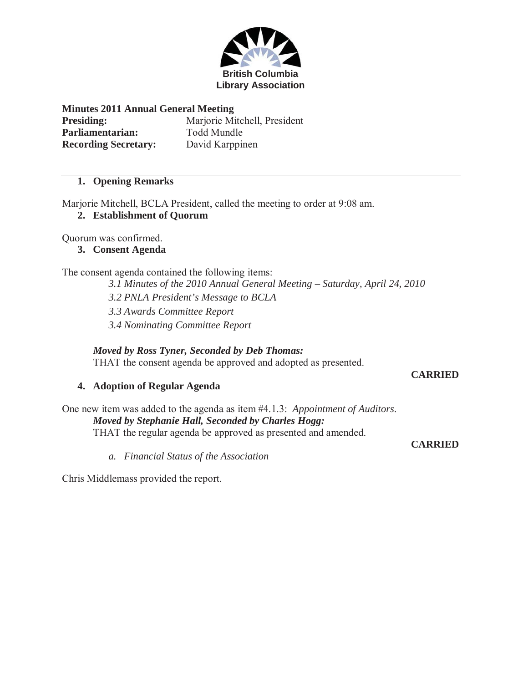

#### **Minutes 2011 Annual General Meeting**

| <b>Presiding:</b>           |  |
|-----------------------------|--|
| Parliamentarian:            |  |
| <b>Recording Secretary:</b> |  |

**Marjorie Mitchell, President Parliamentarian:** Todd Mundle **Recording Secretary:** David Karppinen

## **1. Opening Remarks**

Marjorie Mitchell, BCLA President, called the meeting to order at 9:08 am.

**2. Establishment of Quorum**

Quorum was confirmed.

**3. Consent Agenda** 

The consent agenda contained the following items:

*3.1 Minutes of the 2010 Annual General Meeting – Saturday, April 24, 2010* 

*3.2 PNLA President's Message to BCLA* 

*3.3 Awards Committee Report* 

*3.4 Nominating Committee Report* 

## *Moved by Ross Tyner, Seconded by Deb Thomas:*

THAT the consent agenda be approved and adopted as presented.

**CARRIED** 

## **4. Adoption of Regular Agenda**

One new item was added to the agenda as item #4.1.3: *Appointment of Auditors*. *Moved by Stephanie Hall, Seconded by Charles Hogg:* THAT the regular agenda be approved as presented and amended.

**CARRIED** 

*a. Financial Status of the Association* 

Chris Middlemass provided the report.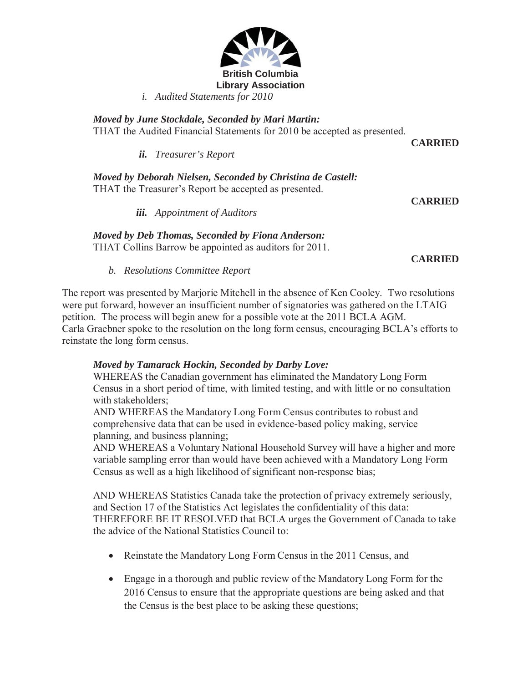

*i. Audited Statements for 2010* 

*Moved by June Stockdale, Seconded by Mari Martin:*  THAT the Audited Financial Statements for 2010 be accepted as presented.

*ii. Treasurer's Report*

*Moved by Deborah Nielsen, Seconded by Christina de Castell:*  THAT the Treasurer's Report be accepted as presented.

**CARRIED** 

**CARRIED** 

*iii. Appointment of Auditors*

*Moved by Deb Thomas, Seconded by Fiona Anderson:*  THAT Collins Barrow be appointed as auditors for 2011.

**CARRIED** 

*b. Resolutions Committee Report* 

The report was presented by Marjorie Mitchell in the absence of Ken Cooley. Two resolutions were put forward, however an insufficient number of signatories was gathered on the LTAIG petition. The process will begin anew for a possible vote at the 2011 BCLA AGM. Carla Graebner spoke to the resolution on the long form census, encouraging BCLA's efforts to reinstate the long form census.

## *Moved by Tamarack Hockin, Seconded by Darby Love:*

WHEREAS the Canadian government has eliminated the Mandatory Long Form Census in a short period of time, with limited testing, and with little or no consultation with stakeholders;

AND WHEREAS the Mandatory Long Form Census contributes to robust and comprehensive data that can be used in evidence-based policy making, service planning, and business planning;

AND WHEREAS a Voluntary National Household Survey will have a higher and more variable sampling error than would have been achieved with a Mandatory Long Form Census as well as a high likelihood of significant non-response bias;

AND WHEREAS Statistics Canada take the protection of privacy extremely seriously, and Section 17 of the Statistics Act legislates the confidentiality of this data: THEREFORE BE IT RESOLVED that BCLA urges the Government of Canada to take the advice of the National Statistics Council to:

- Reinstate the Mandatory Long Form Census in the 2011 Census, and
- Engage in a thorough and public review of the Mandatory Long Form for the 2016 Census to ensure that the appropriate questions are being asked and that the Census is the best place to be asking these questions;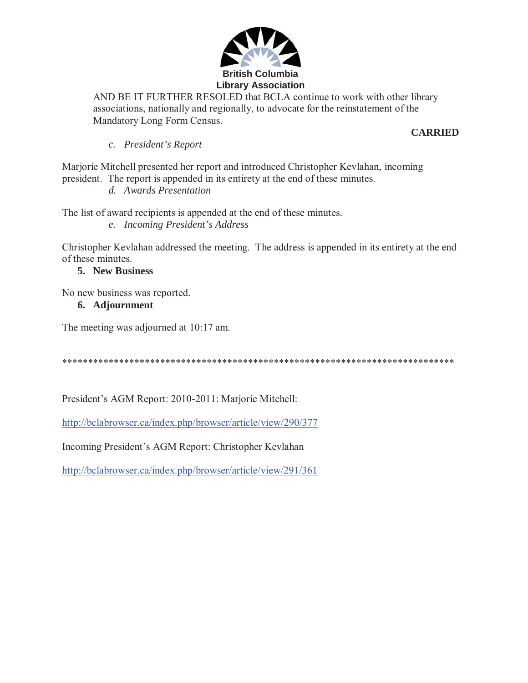

AND BE IT FURTHER RESOLED that BCLA continue to work with other library associations, nationally and regionally, to advocate for the reinstatement of the Mandatory Long Form Census.

#### **CARRIED**

*c. President's Report* 

Marjorie Mitchell presented her report and introduced Christopher Kevlahan, incoming president. The report is appended in its entirety at the end of these minutes.

*d. Awards Presentation* 

The list of award recipients is appended at the end of these minutes.

*e. Incoming President's Address* 

Christopher Kevlahan addressed the meeting. The address is appended in its entirety at the end of these minutes.

# **5. New Business**

No new business was reported.

# **6. Adjournment**

The meeting was adjourned at 10:17 am.

\*\*\*\*\*\*\*\*\*\*\*\*\*\*\*\*\*\*\*\*\*\*\*\*\*\*\*\*\*\*\*\*\*\*\*\*\*\*\*\*\*\*\*\*\*\*\*\*\*\*\*\*\*\*\*\*\*\*\*\*\*\*\*\*\*\*\*\*\*\*\*\*\*\*\*\*

President's AGM Report: 2010-2011: Marjorie Mitchell:

http://bclabrowser.ca/index.php/browser/article/view/290/377

Incoming President's AGM Report: Christopher Kevlahan

http://bclabrowser.ca/index.php/browser/article/view/291/361